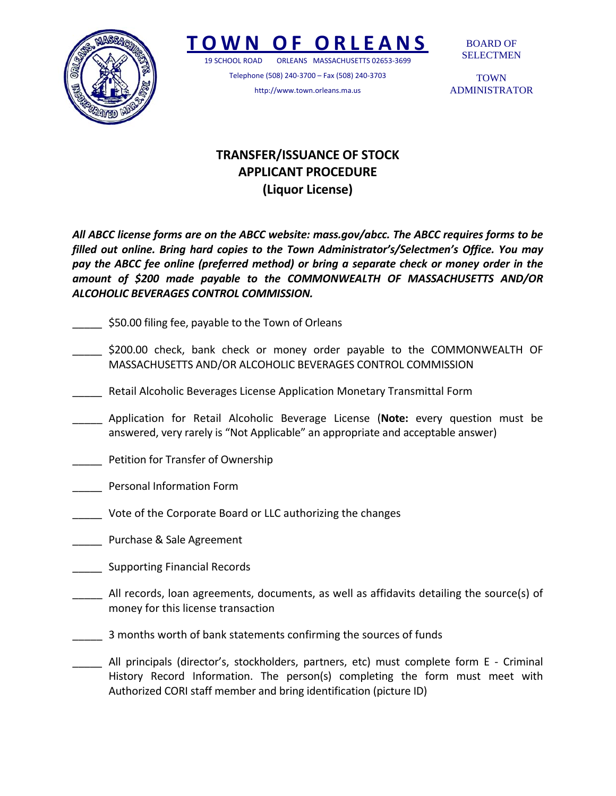

## **TOWN O F ORLEANS**

19 SCHOOL ROAD ORLEANS MASSACHUSETTS 02653‐3699

Telephone (508) 240‐3700 – Fax (508) 240‐3703 http://www.town.orleans.ma.us

BOARD OF SELECTMEN

**TOWN** ADMINISTRATOR

## **TRANSFER/ISSUANCE OF STOCK APPLICANT PROCEDURE (Liquor License)**

*All ABCC license forms are on the ABCC website: mass.gov/abcc. The ABCC requires forms to be filled out online. Bring hard copies to the Town Administrator's/Selectmen's Office. You may pay the ABCC fee online (preferred method) or bring a separate check or money order in the amount of \$200 made payable to the COMMONWEALTH OF MASSACHUSETTS AND/OR ALCOHOLIC BEVERAGES CONTROL COMMISSION.*

- \_\_\_\_\_ \$50.00 filing fee, payable to the Town of Orleans
- \$200.00 check, bank check or money order payable to the COMMONWEALTH OF MASSACHUSETTS AND/OR ALCOHOLIC BEVERAGES CONTROL COMMISSION
- \_\_\_\_\_ Retail Alcoholic Beverages License Application Monetary Transmittal Form
- \_\_\_\_\_ Application for Retail Alcoholic Beverage License (**Note:** every question must be answered, very rarely is "Not Applicable" an appropriate and acceptable answer)
- Petition for Transfer of Ownership
- \_\_\_\_\_ Personal Information Form
- Vote of the Corporate Board or LLC authorizing the changes
- \_\_\_\_\_ Purchase & Sale Agreement
- \_\_\_\_\_ Supporting Financial Records
- \_\_\_\_\_ All records, loan agreements, documents, as well as affidavits detailing the source(s) of money for this license transaction
- \_\_\_\_\_ 3 months worth of bank statements confirming the sources of funds
- All principals (director's, stockholders, partners, etc) must complete form E Criminal History Record Information. The person(s) completing the form must meet with Authorized CORI staff member and bring identification (picture ID)